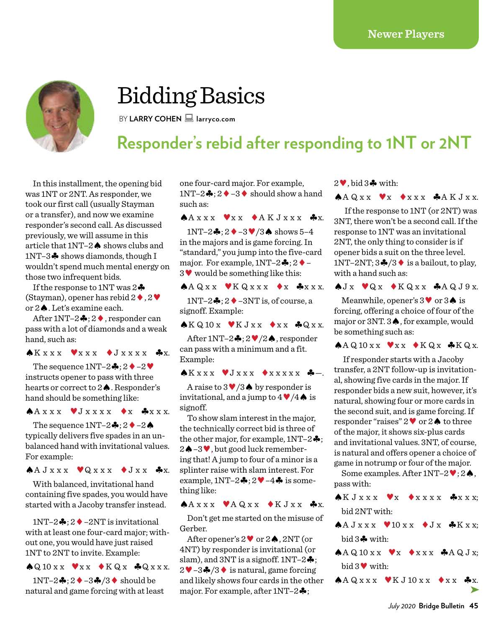

# Bidding Basics

BY LARRY COHEN **larryco.com** 

## **Responder's rebid after responding to 1NT or 2NT**

In this installment, the opening bid was 1NT or 2NT. As responder, we took our first call (usually Stayman or a transfer), and now we examine responder's second call. As discussed previously, we will assume in this article that 1NT–2♠ shows clubs and 1NT–3♣ shows diamonds, though I wouldn't spend much mental energy on those two infrequent bids.

If the response to 1NT was  $2\clubsuit$ (Stayman), opener has rebid  $2 \blacklozenge$ ,  $2 \blacktriangledown$ or 2♠. Let's examine each.

After 1NT–2♣; 2♦, responder can pass with a lot of diamonds and a weak hand, such as:

### $\bigstar x x x \quad \blacktriangledown x x x \quad \blacktriangledown J x x x x x \quad \clubsuit x.$

The sequence  $1NT-2$  $\clubsuit$ :  $2 \spadesuit -2 \clubsuit$ instructs opener to pass with three hearts or correct to 2♠. Responder's hand should be something like:

 $A X X X X \blacktriangleright J X X X X \blacktriangleright X A X X X.$ 

The sequence  $1NT-2$  $\cdot$  :  $2 \cdot -2 \cdot$ typically delivers five spades in an unbalanced hand with invitational values. For example:

 $A J xx x$   $Q xx x$   $J xx$   $J xx$ 

With balanced, invitational hand containing five spades, you would have started with a Jacoby transfer instead.

1NT–2♣;  $2$  ♦ –2NT is invitational with at least one four-card major; without one, you would have just raised 1NT to 2NT to invite. Example:

 $\bigcirc$ Q 10 x x  $\bigvee$  x x  $\bigcirc$  K Q x  $\bigcirc$ Q x x x.

 $1NT-2$   $\clubsuit$  :  $2 \spadesuit$  -3 $\clubsuit$  /3  $\spadesuit$  should be natural and game forcing with at least one four-card major. For example, 1NT–2♣; 2♦–3♦ should show a hand such as:

 $A X X X X \blacktriangleright X X A K J X X X A x.$ 

1NT–2♣; 2♦–3♥/3♠ shows 5–4 in the majors and is game forcing. In "standard," you jump into the five-card major. For example,  $1NT-2$ ;  $2 \rightarrow -$ 3♥ would be something like this:

 $A Q X X$   $Y K Q X X X$   $Y X A X X X$ .

 $1NT-2$   $\clubsuit$  :  $2 \spadesuit$  – 3NT is, of course, a signoff. Example:

 $\bigstar K Q 10 x \quad \blacktriangleright K J x x \quad \blacktriangleright x x \quad \clubsuit Q x x.$ 

After 1NT–2♣; 2♥/2♠, responder can pass with a minimum and a fit. Example:

 $\bigwedge K$ x x x  $\bigvee J$  x x x  $\bigwedge X$  x x x x  $\bigwedge X$   $\bigwedge X$   $\bigwedge X$  x x x x  $\bigwedge X$   $\bigwedge X$   $\bigwedge X$   $\bigwedge X$  x x x x  $\bigwedge X$   $\bigwedge X$   $\bigwedge X$   $\bigwedge X$   $\bigwedge X$   $\bigwedge X$   $\bigwedge X$   $\bigwedge X$   $\bigwedge X$   $\bigwedge X$   $\bigwedge X$   $\bigwedge X$   $\bigwedge X$   $\$ 

A raise to  $3 \sqrt{3}$  by responder is invitational, and a jump to  $4 \sqrt{4}$  is signoff.

To show slam interest in the major, the technically correct bid is three of the other major, for example,  $1NT-2$   $\clubsuit$ ; 2♠–3♥, but good luck remembering that! A jump to four of a minor is a splinter raise with slam interest. For example,  $1NT-2$  $\clubsuit$ ;  $2 \blacktriangledown -4 \clubsuit$  is something like:

### $A A x x x$   $A Q x x$   $A K J x x$   $A x$ .

Don't get me started on the misuse of Gerber.

After opener's 2♥ or 2♠, 2NT (or 4NT) by responder is invitational (or slam), and 3NT is a signoff.  $1NT-2$   $\clubsuit$ ; 2♥–3♣/3♦ is natural, game forcing and likely shows four cards in the other major. For example, after 1NT–2♣;

#### 2♥, bid 3♣ with:

 $A A Q X X$   $X \rightarrow X X X X$   $A A K J X X$ .

If the response to 1NT (or 2NT) was 3NT, there won't be a second call. If the response to 1NT was an invitational 2NT, the only thing to consider is if opener bids a suit on the three level. 1NT–2NT;  $3\clubsuit/3\spadesuit$  is a bailout, to play, with a hand such as:

 $\bigcirc$  J x  $\bigcirc$  Q x  $\bigcirc$  K Q x  $x \bigcirc$  A Q J 9 x.

Meanwhile, opener's 3♥ or 3♠ is forcing, offering a choice of four of the major or 3NT. 3♠, for example, would be something such as:

♠A Q 10 x x ♥x x ♦K Q x ♣K Q x.

 If responder starts with a Jacoby transfer, a 2NT follow-up is invitational, showing five cards in the major. If responder bids a new suit, however, it's natural, showing four or more cards in the second suit, and is game forcing. If responder "raises" 2♥ or 2♠ to three of the major, it shows six-plus cards and invitational values. 3NT, of course, is natural and offers opener a choice of game in notrump or four of the major.

Some examples. After 1NT–2♥; 2♠, pass with:

 $\bigstar K J X X X \quad \blacktriangledown_X \quad \blacktriangle X X X X \quad \clubsuit X X X$ ; bid 2NT with:

- $A \cup X X X$   $0 \cup X X$   $J X$   $K X X$ ; bid 3♣ with:
- $A A Q 10 x x \quad \blacktriangleright x x x \quad \clubsuit A Q J x;$ bid 3♥ with:

 $A Q x x x \quad \forall K J 10 x x \quad \forall x x \quad A x.$ 

*July 2020* **Bridge Bulletin 45**